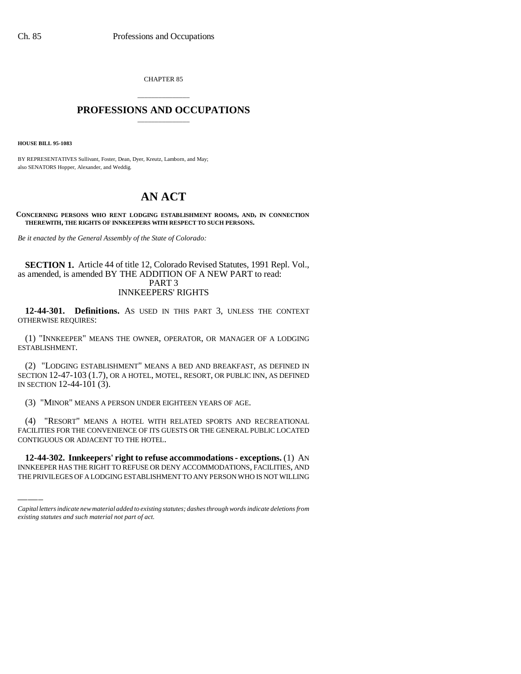CHAPTER 85

## \_\_\_\_\_\_\_\_\_\_\_\_\_\_\_ **PROFESSIONS AND OCCUPATIONS** \_\_\_\_\_\_\_\_\_\_\_\_\_\_\_

**HOUSE BILL 95-1083**

BY REPRESENTATIVES Sullivant, Foster, Dean, Dyer, Kreutz, Lamborn, and May; also SENATORS Hopper, Alexander, and Weddig.

## **AN ACT**

**CONCERNING PERSONS WHO RENT LODGING ESTABLISHMENT ROOMS, AND, IN CONNECTION THEREWITH, THE RIGHTS OF INNKEEPERS WITH RESPECT TO SUCH PERSONS.**

*Be it enacted by the General Assembly of the State of Colorado:*

## **SECTION 1.** Article 44 of title 12, Colorado Revised Statutes, 1991 Repl. Vol., as amended, is amended BY THE ADDITION OF A NEW PART to read: PART 3 INNKEEPERS' RIGHTS

**12-44-301. Definitions.** AS USED IN THIS PART 3, UNLESS THE CONTEXT OTHERWISE REQUIRES:

(1) "INNKEEPER" MEANS THE OWNER, OPERATOR, OR MANAGER OF A LODGING ESTABLISHMENT.

(2) "LODGING ESTABLISHMENT" MEANS A BED AND BREAKFAST, AS DEFINED IN SECTION 12-47-103 (1.7), OR A HOTEL, MOTEL, RESORT, OR PUBLIC INN, AS DEFINED IN SECTION 12-44-101 (3).

(3) "MINOR" MEANS A PERSON UNDER EIGHTEEN YEARS OF AGE.

CONTIGUOUS OR ADJACENT TO THE HOTEL. (4) "RESORT" MEANS A HOTEL WITH RELATED SPORTS AND RECREATIONAL FACILITIES FOR THE CONVENIENCE OF ITS GUESTS OR THE GENERAL PUBLIC LOCATED

**12-44-302. Innkeepers' right to refuse accommodations - exceptions.** (1) AN INNKEEPER HAS THE RIGHT TO REFUSE OR DENY ACCOMMODATIONS, FACILITIES, AND THE PRIVILEGES OF A LODGING ESTABLISHMENT TO ANY PERSON WHO IS NOT WILLING

*Capital letters indicate new material added to existing statutes; dashes through words indicate deletions from existing statutes and such material not part of act.*